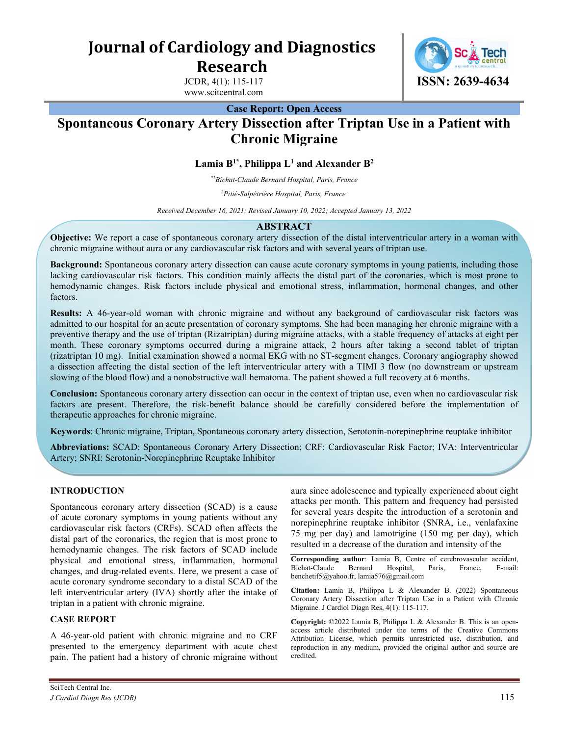Journal of Cardiology and Diagnostics Research

> JCDR, 4(1): 115-117 www.scitcentral.com



Case Report: Open Access

# Spontaneous Coronary Artery Dissection after Triptan Use in a Patient with Chronic Migraine

Lamia  $B^{1*}$ , Philippa L<sup>1</sup> and Alexander  $B^2$ 

\*1Bichat-Claude Bernard Hospital, Paris, France

<sup>2</sup>Pitié-Salpétrière Hospital, Paris, France.

Received December 16, 2021; Revised January 10, 2022; Accepted January 13, 2022

#### ABSTRACT

Objective: We report a case of spontaneous coronary artery dissection of the distal interventricular artery in a woman with chronic migraine without aura or any cardiovascular risk factors and with several years of triptan use.

Background: Spontaneous coronary artery dissection can cause acute coronary symptoms in young patients, including those lacking cardiovascular risk factors. This condition mainly affects the distal part of the coronaries, which is most prone to hemodynamic changes. Risk factors include physical and emotional stress, inflammation, hormonal changes, and other factors.

Results: A 46-year-old woman with chronic migraine and without any background of cardiovascular risk factors was admitted to our hospital for an acute presentation of coronary symptoms. She had been managing her chronic migraine with a preventive therapy and the use of triptan (Rizatriptan) during migraine attacks, with a stable frequency of attacks at eight per month. These coronary symptoms occurred during a migraine attack, 2 hours after taking a second tablet of triptan (rizatriptan 10 mg). Initial examination showed a normal EKG with no ST-segment changes. Coronary angiography showed a dissection affecting the distal section of the left interventricular artery with a TIMI 3 flow (no downstream or upstream slowing of the blood flow) and a nonobstructive wall hematoma. The patient showed a full recovery at 6 months.

Conclusion: Spontaneous coronary artery dissection can occur in the context of triptan use, even when no cardiovascular risk factors are present. Therefore, the risk-benefit balance should be carefully considered before the implementation of therapeutic approaches for chronic migraine.

Keywords: Chronic migraine, Triptan, Spontaneous coronary artery dissection, Serotonin-norepinephrine reuptake inhibitor

Abbreviations: SCAD: Spontaneous Coronary Artery Dissection; CRF: Cardiovascular Risk Factor; IVA: Interventricular Artery; SNRI: Serotonin-Norepinephrine Reuptake Inhibitor

## INTRODUCTION

Spontaneous coronary artery dissection (SCAD) is a cause of acute coronary symptoms in young patients without any cardiovascular risk factors (CRFs). SCAD often affects the distal part of the coronaries, the region that is most prone to hemodynamic changes. The risk factors of SCAD include physical and emotional stress, inflammation, hormonal changes, and drug-related events. Here, we present a case of acute coronary syndrome secondary to a distal SCAD of the left interventricular artery (IVA) shortly after the intake of triptan in a patient with chronic migraine.

## CASE REPORT

A 46-year-old patient with chronic migraine and no CRF presented to the emergency department with acute chest pain. The patient had a history of chronic migraine without aura since adolescence and typically experienced about eight attacks per month. This pattern and frequency had persisted for several years despite the introduction of a serotonin and norepinephrine reuptake inhibitor (SNRA, i.e., venlafaxine 75 mg per day) and lamotrigine (150 mg per day), which resulted in a decrease of the duration and intensity of the

Corresponding author: Lamia B, Centre of cerebrovascular accident, Bichat-Claude Bernard Hospital, Paris, France, E-mail: benchetif5@yahoo.fr, lamia576@gmail.com

Citation: Lamia B, Philippa L & Alexander B. (2022) Spontaneous Coronary Artery Dissection after Triptan Use in a Patient with Chronic Migraine. J Cardiol Diagn Res, 4(1): 115-117.

Copyright: ©2022 Lamia B, Philippa L & Alexander B. This is an openaccess article distributed under the terms of the Creative Commons Attribution License, which permits unrestricted use, distribution, and reproduction in any medium, provided the original author and source are credited.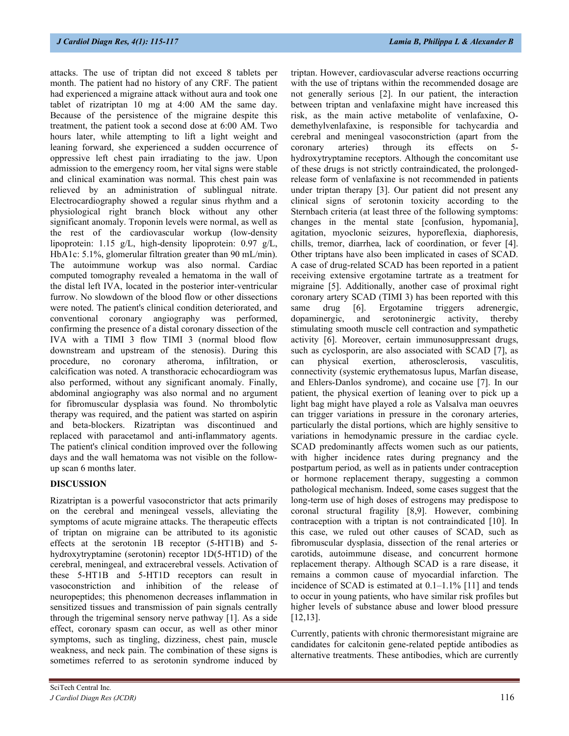attacks. The use of triptan did not exceed 8 tablets per month. The patient had no history of any CRF. The patient had experienced a migraine attack without aura and took one tablet of rizatriptan 10 mg at 4:00 AM the same day. Because of the persistence of the migraine despite this treatment, the patient took a second dose at 6:00 AM. Two hours later, while attempting to lift a light weight and leaning forward, she experienced a sudden occurrence of oppressive left chest pain irradiating to the jaw. Upon admission to the emergency room, her vital signs were stable and clinical examination was normal. This chest pain was relieved by an administration of sublingual nitrate. Electrocardiography showed a regular sinus rhythm and a physiological right branch block without any other significant anomaly. Troponin levels were normal, as well as the rest of the cardiovascular workup (low-density lipoprotein: 1.15 g/L, high-density lipoprotein: 0.97 g/L, HbA1c: 5.1%, glomerular filtration greater than 90 mL/min). The autoimmune workup was also normal. Cardiac computed tomography revealed a hematoma in the wall of the distal left IVA, located in the posterior inter-ventricular furrow. No slowdown of the blood flow or other dissections were noted. The patient's clinical condition deteriorated, and conventional coronary angiography was performed, confirming the presence of a distal coronary dissection of the IVA with a TIMI 3 flow TIMI 3 (normal blood flow downstream and upstream of the stenosis). During this procedure, no coronary atheroma, infiltration, or calcification was noted. A transthoracic echocardiogram was also performed, without any significant anomaly. Finally, abdominal angiography was also normal and no argument for fibromuscular dysplasia was found. No thrombolytic therapy was required, and the patient was started on aspirin and beta-blockers. Rizatriptan was discontinued and replaced with paracetamol and anti-inflammatory agents. The patient's clinical condition improved over the following days and the wall hematoma was not visible on the followup scan 6 months later.

#### DISCUSSION

Rizatriptan is a powerful vasoconstrictor that acts primarily on the cerebral and meningeal vessels, alleviating the symptoms of acute migraine attacks. The therapeutic effects of triptan on migraine can be attributed to its agonistic effects at the serotonin 1B receptor (5-HT1B) and 5 hydroxytryptamine (serotonin) receptor 1D(5-HT1D) of the cerebral, meningeal, and extracerebral vessels. Activation of these 5-HT1B and 5-HT1D receptors can result in vasoconstriction and inhibition of the release of neuropeptides; this phenomenon decreases inflammation in sensitized tissues and transmission of pain signals centrally through the trigeminal sensory nerve pathway [1]. As a side effect, coronary spasm can occur, as well as other minor symptoms, such as tingling, dizziness, chest pain, muscle weakness, and neck pain. The combination of these signs is sometimes referred to as serotonin syndrome induced by triptan. However, cardiovascular adverse reactions occurring with the use of triptans within the recommended dosage are not generally serious [2]. In our patient, the interaction between triptan and venlafaxine might have increased this risk, as the main active metabolite of venlafaxine, Odemethylvenlafaxine, is responsible for tachycardia and cerebral and meningeal vasoconstriction (apart from the coronary arteries) through its effects on 5 hydroxytryptamine receptors. Although the concomitant use of these drugs is not strictly contraindicated, the prolongedrelease form of venlafaxine is not recommended in patients under triptan therapy [3]. Our patient did not present any clinical signs of serotonin toxicity according to the Sternbach criteria (at least three of the following symptoms: changes in the mental state [confusion, hypomania], agitation, myoclonic seizures, hyporeflexia, diaphoresis, chills, tremor, diarrhea, lack of coordination, or fever [4]. Other triptans have also been implicated in cases of SCAD. A case of drug-related SCAD has been reported in a patient receiving extensive ergotamine tartrate as a treatment for migraine [5]. Additionally, another case of proximal right coronary artery SCAD (TIMI 3) has been reported with this same drug [6]. Ergotamine triggers adrenergic, dopaminergic, and serotoninergic activity, thereby stimulating smooth muscle cell contraction and sympathetic activity [6]. Moreover, certain immunosuppressant drugs, such as cyclosporin, are also associated with SCAD [7], as can physical exertion, atherosclerosis, vasculitis, connectivity (systemic erythematosus lupus, Marfan disease, and Ehlers-Danlos syndrome), and cocaine use [7]. In our patient, the physical exertion of leaning over to pick up a light bag might have played a role as Valsalva man oeuvres can trigger variations in pressure in the coronary arteries, particularly the distal portions, which are highly sensitive to variations in hemodynamic pressure in the cardiac cycle. SCAD predominantly affects women such as our patients, with higher incidence rates during pregnancy and the postpartum period, as well as in patients under contraception or hormone replacement therapy, suggesting a common pathological mechanism. Indeed, some cases suggest that the long-term use of high doses of estrogens may predispose to coronal structural fragility [8,9]. However, combining contraception with a triptan is not contraindicated [10]. In this case, we ruled out other causes of SCAD, such as fibromuscular dysplasia, dissection of the renal arteries or carotids, autoimmune disease, and concurrent hormone replacement therapy. Although SCAD is a rare disease, it remains a common cause of myocardial infarction. The incidence of SCAD is estimated at 0.1–1.1% [11] and tends to occur in young patients, who have similar risk profiles but higher levels of substance abuse and lower blood pressure [12,13].

Currently, patients with chronic thermoresistant migraine are candidates for calcitonin gene-related peptide antibodies as alternative treatments. These antibodies, which are currently